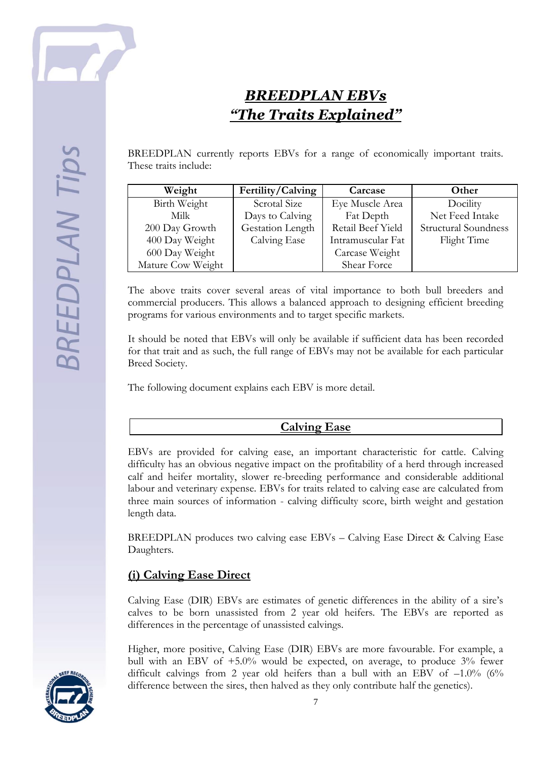

# *BREEDPLAN EBVs "The Traits Explained"*

BREEDPLAN currently reports EBVs for a range of economically important traits. These traits include:

| Weight            | Fertility/Calving | Carcase           | Other                       |
|-------------------|-------------------|-------------------|-----------------------------|
| Birth Weight      | Scrotal Size      | Eye Muscle Area   | Docility                    |
| Milk              | Days to Calving   | Fat Depth         | Net Feed Intake             |
| 200 Day Growth    | Gestation Length  | Retail Beef Yield | <b>Structural Soundness</b> |
| 400 Day Weight    | Calving Ease      | Intramuscular Fat | Flight Time                 |
| 600 Day Weight    |                   | Carcase Weight    |                             |
| Mature Cow Weight |                   | Shear Force       |                             |

The above traits cover several areas of vital importance to both bull breeders and commercial producers. This allows a balanced approach to designing efficient breeding programs for various environments and to target specific markets.

It should be noted that EBVs will only be available if sufficient data has been recorded for that trait and as such, the full range of EBVs may not be available for each particular Breed Society.

The following document explains each EBV is more detail.

#### **Calving Ease**

EBVs are provided for calving ease, an important characteristic for cattle. Calving difficulty has an obvious negative impact on the profitability of a herd through increased calf and heifer mortality, slower re-breeding performance and considerable additional labour and veterinary expense. EBVs for traits related to calving ease are calculated from three main sources of information - calving difficulty score, birth weight and gestation length data.

BREEDPLAN produces two calving ease EBVs – Calving Ease Direct & Calving Ease Daughters.

## **(i) Calving Ease Direct**

Calving Ease (DIR) EBVs are estimates of genetic differences in the ability of a sire's calves to be born unassisted from 2 year old heifers. The EBVs are reported as differences in the percentage of unassisted calvings.

Higher, more positive, Calving Ease (DIR) EBVs are more favourable. For example, a bull with an EBV of +5.0% would be expected, on average, to produce 3% fewer difficult calvings from 2 year old heifers than a bull with an EBV of  $-1.0\%$  (6% difference between the sires, then halved as they only contribute half the genetics).

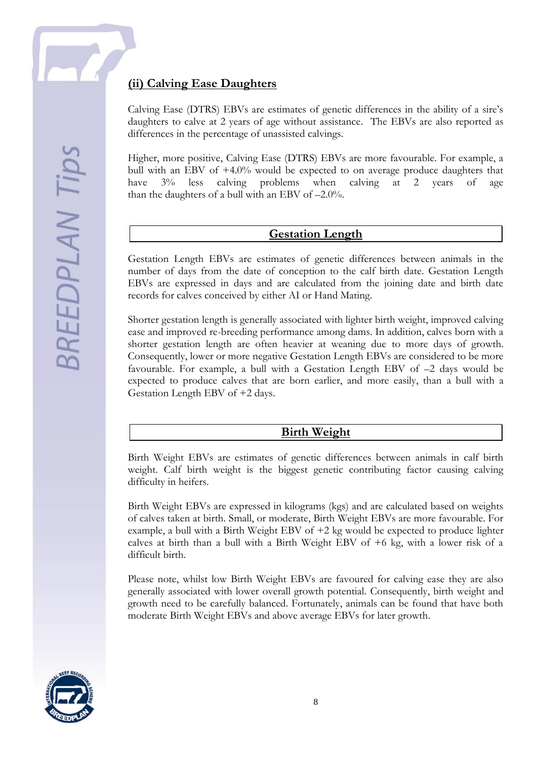## **(ii) Calving Ease Daughters**

Calving Ease (DTRS) EBVs are estimates of genetic differences in the ability of a sire's daughters to calve at 2 years of age without assistance. The EBVs are also reported as differences in the percentage of unassisted calvings.

Higher, more positive, Calving Ease (DTRS) EBVs are more favourable. For example, a bull with an EBV of +4.0% would be expected to on average produce daughters that have 3% less calving problems when calving at 2 years of age than the daughters of a bull with an EBV of –2.0%.

#### **Gestation Length**

Gestation Length EBVs are estimates of genetic differences between animals in the number of days from the date of conception to the calf birth date. Gestation Length EBVs are expressed in days and are calculated from the joining date and birth date records for calves conceived by either AI or Hand Mating.

Shorter gestation length is generally associated with lighter birth weight, improved calving ease and improved re-breeding performance among dams. In addition, calves born with a shorter gestation length are often heavier at weaning due to more days of growth. Consequently, lower or more negative Gestation Length EBVs are considered to be more favourable. For example, a bull with a Gestation Length EBV of –2 days would be expected to produce calves that are born earlier, and more easily, than a bull with a Gestation Length EBV of +2 days.

#### **Birth Weight**

Birth Weight EBVs are estimates of genetic differences between animals in calf birth weight. Calf birth weight is the biggest genetic contributing factor causing calving difficulty in heifers.

Birth Weight EBVs are expressed in kilograms (kgs) and are calculated based on weights of calves taken at birth. Small, or moderate, Birth Weight EBVs are more favourable. For example, a bull with a Birth Weight EBV of +2 kg would be expected to produce lighter calves at birth than a bull with a Birth Weight EBV of +6 kg, with a lower risk of a difficult birth.

Please note, whilst low Birth Weight EBVs are favoured for calving ease they are also generally associated with lower overall growth potential. Consequently, birth weight and growth need to be carefully balanced. Fortunately, animals can be found that have both moderate Birth Weight EBVs and above average EBVs for later growth.

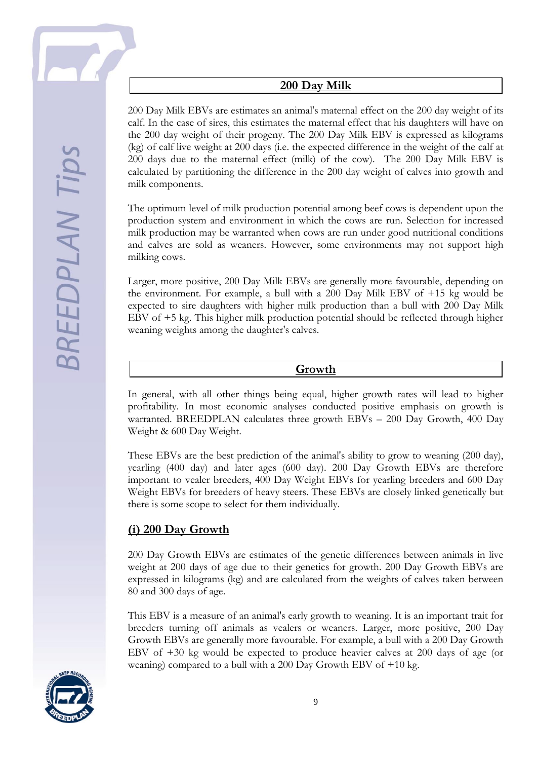**BREEDPLAN Tip** 

### **200 Day Milk**

200 Day Milk EBVs are estimates an animal's maternal effect on the 200 day weight of its calf. In the case of sires, this estimates the maternal effect that his daughters will have on the 200 day weight of their progeny. The 200 Day Milk EBV is expressed as kilograms (kg) of calf live weight at 200 days (i.e. the expected difference in the weight of the calf at 200 days due to the maternal effect (milk) of the cow). The 200 Day Milk EBV is calculated by partitioning the difference in the 200 day weight of calves into growth and milk components.

The optimum level of milk production potential among beef cows is dependent upon the production system and environment in which the cows are run. Selection for increased milk production may be warranted when cows are run under good nutritional conditions and calves are sold as weaners. However, some environments may not support high milking cows.

Larger, more positive, 200 Day Milk EBVs are generally more favourable, depending on the environment. For example, a bull with a 200 Day Milk EBV of +15 kg would be expected to sire daughters with higher milk production than a bull with 200 Day Milk EBV of +5 kg. This higher milk production potential should be reflected through higher weaning weights among the daughter's calves.

#### **Growth**

In general, with all other things being equal, higher growth rates will lead to higher profitability. In most economic analyses conducted positive emphasis on growth is warranted. BREEDPLAN calculates three growth EBVs – 200 Day Growth, 400 Day Weight & 600 Day Weight.

These EBVs are the best prediction of the animal's ability to grow to weaning (200 day), yearling (400 day) and later ages (600 day). 200 Day Growth EBVs are therefore important to vealer breeders, 400 Day Weight EBVs for yearling breeders and 600 Day Weight EBVs for breeders of heavy steers. These EBVs are closely linked genetically but there is some scope to select for them individually.

## **(i) 200 Day Growth**

200 Day Growth EBVs are estimates of the genetic differences between animals in live weight at 200 days of age due to their genetics for growth. 200 Day Growth EBVs are expressed in kilograms (kg) and are calculated from the weights of calves taken between 80 and 300 days of age.

This EBV is a measure of an animal's early growth to weaning. It is an important trait for breeders turning off animals as vealers or weaners. Larger, more positive, 200 Day Growth EBVs are generally more favourable. For example, a bull with a 200 Day Growth EBV of +30 kg would be expected to produce heavier calves at 200 days of age (or weaning) compared to a bull with a 200 Day Growth EBV of +10 kg.

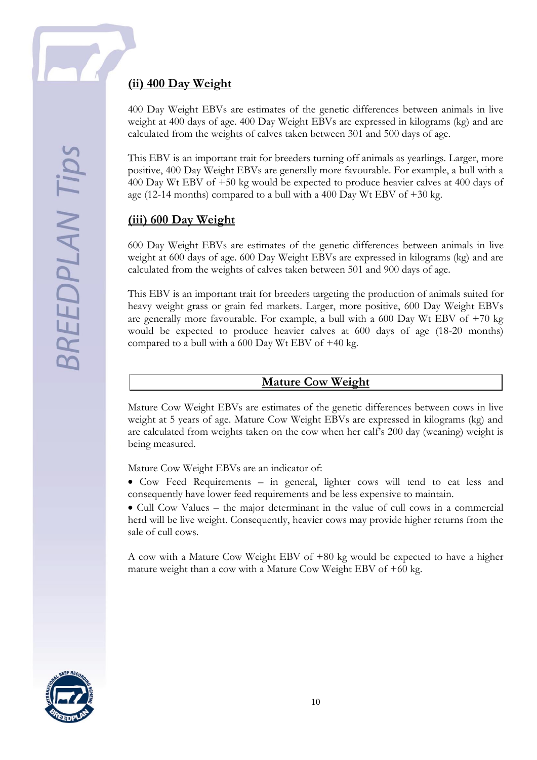## **(ii) 400 Day Weight**

400 Day Weight EBVs are estimates of the genetic differences between animals in live weight at 400 days of age. 400 Day Weight EBVs are expressed in kilograms (kg) and are calculated from the weights of calves taken between 301 and 500 days of age.

This EBV is an important trait for breeders turning off animals as yearlings. Larger, more positive, 400 Day Weight EBVs are generally more favourable. For example, a bull with a 400 Day Wt EBV of +50 kg would be expected to produce heavier calves at 400 days of age (12-14 months) compared to a bull with a 400 Day Wt EBV of  $+30$  kg.

## **(iii) 600 Day Weight**

600 Day Weight EBVs are estimates of the genetic differences between animals in live weight at 600 days of age. 600 Day Weight EBVs are expressed in kilograms (kg) and are calculated from the weights of calves taken between 501 and 900 days of age.

This EBV is an important trait for breeders targeting the production of animals suited for heavy weight grass or grain fed markets. Larger, more positive, 600 Day Weight EBVs are generally more favourable. For example, a bull with a 600 Day Wt EBV of +70 kg would be expected to produce heavier calves at 600 days of age (18-20 months) compared to a bull with a  $600$  Day Wt EBV of  $+40$  kg.

#### **Mature Cow Weight**

Mature Cow Weight EBVs are estimates of the genetic differences between cows in live weight at 5 years of age. Mature Cow Weight EBVs are expressed in kilograms (kg) and are calculated from weights taken on the cow when her calf's 200 day (weaning) weight is being measured.

Mature Cow Weight EBVs are an indicator of:

• Cow Feed Requirements – in general, lighter cows will tend to eat less and consequently have lower feed requirements and be less expensive to maintain.

 Cull Cow Values – the major determinant in the value of cull cows in a commercial herd will be live weight. Consequently, heavier cows may provide higher returns from the sale of cull cows.

A cow with a Mature Cow Weight EBV of +80 kg would be expected to have a higher mature weight than a cow with a Mature Cow Weight EBV of +60 kg.

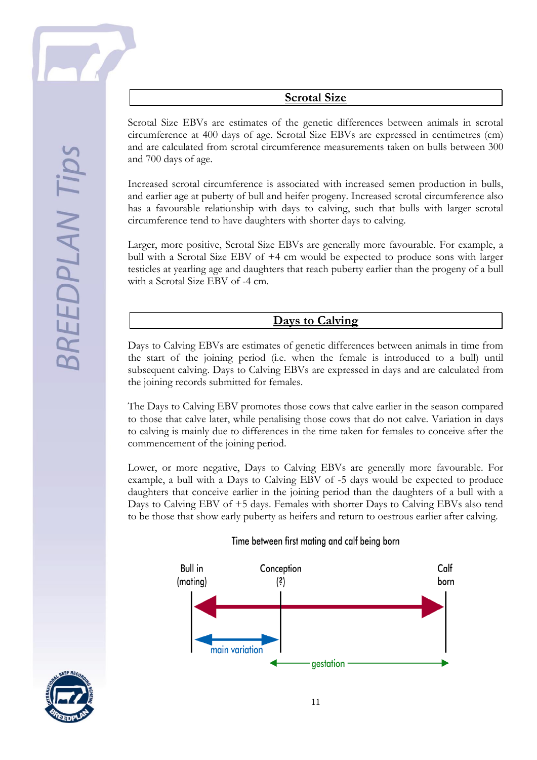#### **Scrotal Size**

Scrotal Size EBVs are estimates of the genetic differences between animals in scrotal circumference at 400 days of age. Scrotal Size EBVs are expressed in centimetres (cm) and are calculated from scrotal circumference measurements taken on bulls between 300 and 700 days of age.

Increased scrotal circumference is associated with increased semen production in bulls, and earlier age at puberty of bull and heifer progeny. Increased scrotal circumference also has a favourable relationship with days to calving, such that bulls with larger scrotal circumference tend to have daughters with shorter days to calving.

Larger, more positive, Scrotal Size EBVs are generally more favourable. For example, a bull with a Scrotal Size EBV of +4 cm would be expected to produce sons with larger testicles at yearling age and daughters that reach puberty earlier than the progeny of a bull with a Scrotal Size EBV of -4 cm.

#### **Days to Calving**

Days to Calving EBVs are estimates of genetic differences between animals in time from the start of the joining period (i.e. when the female is introduced to a bull) until subsequent calving. Days to Calving EBVs are expressed in days and are calculated from the joining records submitted for females.

The Days to Calving EBV promotes those cows that calve earlier in the season compared to those that calve later, while penalising those cows that do not calve. Variation in days to calving is mainly due to differences in the time taken for females to conceive after the commencement of the joining period.

Lower, or more negative, Days to Calving EBVs are generally more favourable. For example, a bull with a Days to Calving EBV of -5 days would be expected to produce daughters that conceive earlier in the joining period than the daughters of a bull with a Days to Calving EBV of +5 days. Females with shorter Days to Calving EBVs also tend to be those that show early puberty as heifers and return to oestrous earlier after calving.

#### Time between first mating and calf being born



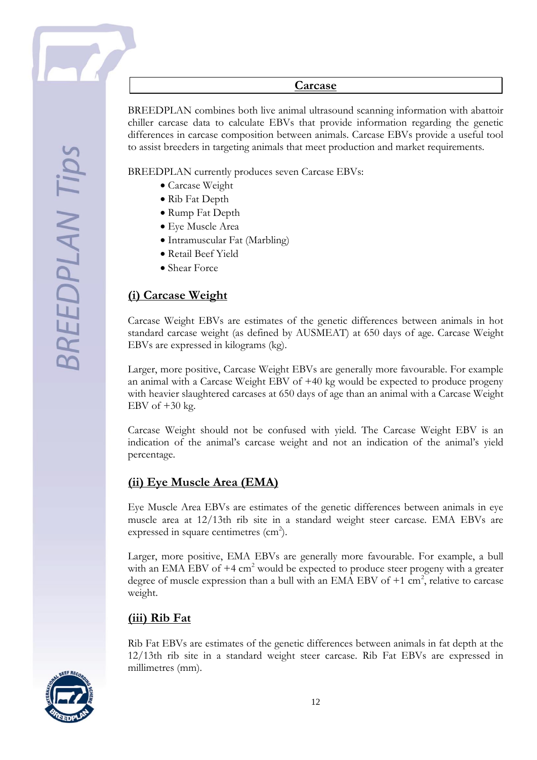#### **Carcase**

BREEDPLAN combines both live animal ultrasound scanning information with abattoir chiller carcase data to calculate EBVs that provide information regarding the genetic differences in carcase composition between animals. Carcase EBVs provide a useful tool to assist breeders in targeting animals that meet production and market requirements.

BREEDPLAN currently produces seven Carcase EBVs:

- Carcase Weight
- Rib Fat Depth
- Rump Fat Depth
- Eye Muscle Area
- Intramuscular Fat (Marbling)
- Retail Beef Yield
- Shear Force

## **(i) Carcase Weight**

Carcase Weight EBVs are estimates of the genetic differences between animals in hot standard carcase weight (as defined by AUSMEAT) at 650 days of age. Carcase Weight EBVs are expressed in kilograms (kg).

Larger, more positive, Carcase Weight EBVs are generally more favourable. For example an animal with a Carcase Weight EBV of +40 kg would be expected to produce progeny with heavier slaughtered carcases at 650 days of age than an animal with a Carcase Weight EBV of  $+30$  kg.

Carcase Weight should not be confused with yield. The Carcase Weight EBV is an indication of the animal's carcase weight and not an indication of the animal's yield percentage.

## **(ii) Eye Muscle Area (EMA)**

Eye Muscle Area EBVs are estimates of the genetic differences between animals in eye muscle area at 12/13th rib site in a standard weight steer carcase. EMA EBVs are expressed in square centimetres  $(cm<sup>2</sup>).$ 

Larger, more positive, EMA EBVs are generally more favourable. For example, a bull with an EMA EBV of  $+4 \text{ cm}^2$  would be expected to produce steer progeny with a greater degree of muscle expression than a bull with an EMA EBV of  $+1$  cm<sup>2</sup>, relative to carcase weight.

#### **(iii) Rib Fat**

Rib Fat EBVs are estimates of the genetic differences between animals in fat depth at the 12/13th rib site in a standard weight steer carcase. Rib Fat EBVs are expressed in millimetres (mm).

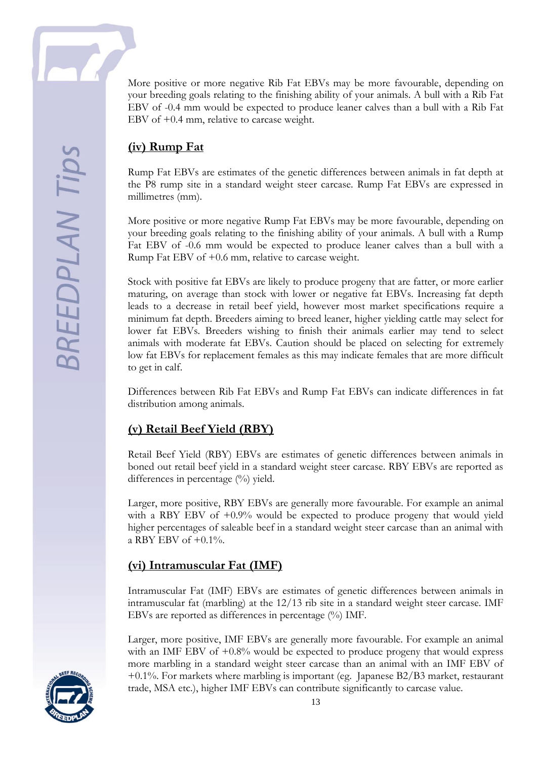**SREEDPLAN Tips** 

More positive or more negative Rib Fat EBVs may be more favourable, depending on your breeding goals relating to the finishing ability of your animals. A bull with a Rib Fat EBV of -0.4 mm would be expected to produce leaner calves than a bull with a Rib Fat EBV of +0.4 mm, relative to carcase weight.

## **(iv) Rump Fat**

Rump Fat EBVs are estimates of the genetic differences between animals in fat depth at the P8 rump site in a standard weight steer carcase. Rump Fat EBVs are expressed in millimetres (mm).

More positive or more negative Rump Fat EBVs may be more favourable, depending on your breeding goals relating to the finishing ability of your animals. A bull with a Rump Fat EBV of -0.6 mm would be expected to produce leaner calves than a bull with a Rump Fat EBV of +0.6 mm, relative to carcase weight.

Stock with positive fat EBVs are likely to produce progeny that are fatter, or more earlier maturing, on average than stock with lower or negative fat EBVs. Increasing fat depth leads to a decrease in retail beef yield, however most market specifications require a minimum fat depth. Breeders aiming to breed leaner, higher yielding cattle may select for lower fat EBVs. Breeders wishing to finish their animals earlier may tend to select animals with moderate fat EBVs. Caution should be placed on selecting for extremely low fat EBVs for replacement females as this may indicate females that are more difficult to get in calf.

Differences between Rib Fat EBVs and Rump Fat EBVs can indicate differences in fat distribution among animals.

## **(v) Retail Beef Yield (RBY)**

Retail Beef Yield (RBY) EBVs are estimates of genetic differences between animals in boned out retail beef yield in a standard weight steer carcase. RBY EBVs are reported as differences in percentage  $\frac{0}{0}$  yield.

Larger, more positive, RBY EBVs are generally more favourable. For example an animal with a RBY EBV of  $+0.9\%$  would be expected to produce progeny that would yield higher percentages of saleable beef in a standard weight steer carcase than an animal with a RBY EBV of  $+0.1\%$ .

## **(vi) Intramuscular Fat (IMF)**

Intramuscular Fat (IMF) EBVs are estimates of genetic differences between animals in intramuscular fat (marbling) at the 12/13 rib site in a standard weight steer carcase. IMF EBVs are reported as differences in percentage (%) IMF.

Larger, more positive, IMF EBVs are generally more favourable. For example an animal with an IMF EBV of +0.8% would be expected to produce progeny that would express more marbling in a standard weight steer carcase than an animal with an IMF EBV of +0.1%. For markets where marbling is important (eg. Japanese B2/B3 market, restaurant trade, MSA etc.), higher IMF EBVs can contribute significantly to carcase value.

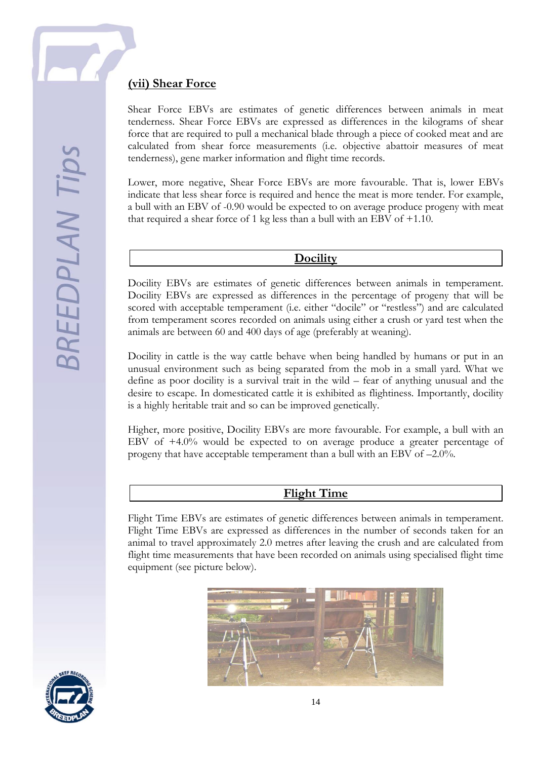## **(vii) Shear Force**

Shear Force EBVs are estimates of genetic differences between animals in meat tenderness. Shear Force EBVs are expressed as differences in the kilograms of shear force that are required to pull a mechanical blade through a piece of cooked meat and are calculated from shear force measurements (i.e. objective abattoir measures of meat tenderness), gene marker information and flight time records.

Lower, more negative, Shear Force EBVs are more favourable. That is, lower EBVs indicate that less shear force is required and hence the meat is more tender. For example, a bull with an EBV of -0.90 would be expected to on average produce progeny with meat that required a shear force of 1 kg less than a bull with an EBV of +1.10.

#### **Docility**

Docility EBVs are estimates of genetic differences between animals in temperament. Docility EBVs are expressed as differences in the percentage of progeny that will be scored with acceptable temperament (i.e. either "docile" or "restless") and are calculated from temperament scores recorded on animals using either a crush or yard test when the animals are between 60 and 400 days of age (preferably at weaning).

Docility in cattle is the way cattle behave when being handled by humans or put in an unusual environment such as being separated from the mob in a small yard. What we define as poor docility is a survival trait in the wild – fear of anything unusual and the desire to escape. In domesticated cattle it is exhibited as flightiness. Importantly, docility is a highly heritable trait and so can be improved genetically.

Higher, more positive, Docility EBVs are more favourable. For example, a bull with an EBV of +4.0% would be expected to on average produce a greater percentage of progeny that have acceptable temperament than a bull with an EBV of –2.0%.

#### **Flight Time**

Flight Time EBVs are estimates of genetic differences between animals in temperament. Flight Time EBVs are expressed as differences in the number of seconds taken for an animal to travel approximately 2.0 metres after leaving the crush and are calculated from flight time measurements that have been recorded on animals using specialised flight time equipment (see picture below).



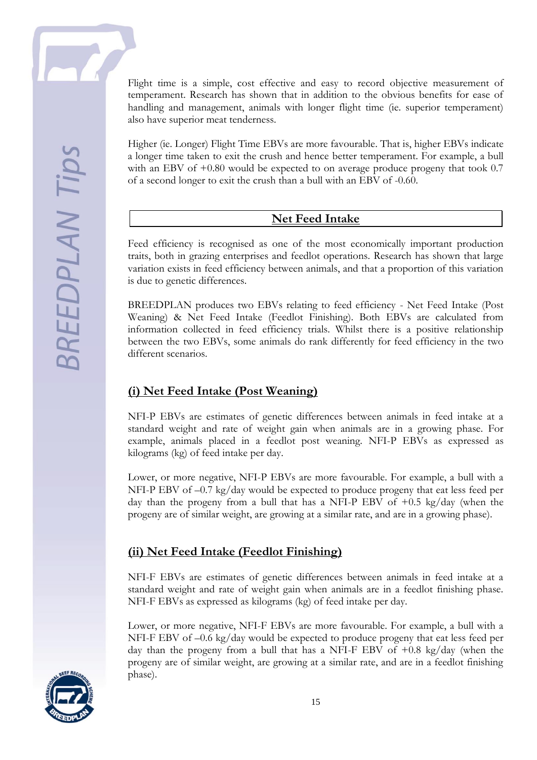Flight time is a simple, cost effective and easy to record objective measurement of temperament. Research has shown that in addition to the obvious benefits for ease of handling and management, animals with longer flight time (ie. superior temperament) also have superior meat tenderness.

Higher (ie. Longer) Flight Time EBVs are more favourable. That is, higher EBVs indicate a longer time taken to exit the crush and hence better temperament. For example, a bull with an EBV of  $+0.80$  would be expected to on average produce progeny that took 0.7 of a second longer to exit the crush than a bull with an EBV of -0.60.

#### **Net Feed Intake**

Feed efficiency is recognised as one of the most economically important production traits, both in grazing enterprises and feedlot operations. Research has shown that large variation exists in feed efficiency between animals, and that a proportion of this variation is due to genetic differences.

BREEDPLAN produces two EBVs relating to feed efficiency - Net Feed Intake (Post Weaning) & Net Feed Intake (Feedlot Finishing). Both EBVs are calculated from information collected in feed efficiency trials. Whilst there is a positive relationship between the two EBVs, some animals do rank differently for feed efficiency in the two different scenarios.

## **(i) Net Feed Intake (Post Weaning)**

NFI-P EBVs are estimates of genetic differences between animals in feed intake at a standard weight and rate of weight gain when animals are in a growing phase. For example, animals placed in a feedlot post weaning. NFI-P EBVs as expressed as kilograms (kg) of feed intake per day.

Lower, or more negative, NFI-P EBVs are more favourable. For example, a bull with a NFI-P EBV of –0.7 kg/day would be expected to produce progeny that eat less feed per day than the progeny from a bull that has a NFI-P EBV of  $+0.5 \text{ kg/day}$  (when the progeny are of similar weight, are growing at a similar rate, and are in a growing phase).

## **(ii) Net Feed Intake (Feedlot Finishing)**

NFI-F EBVs are estimates of genetic differences between animals in feed intake at a standard weight and rate of weight gain when animals are in a feedlot finishing phase. NFI-F EBVs as expressed as kilograms (kg) of feed intake per day.

Lower, or more negative, NFI-F EBVs are more favourable. For example, a bull with a NFI-F EBV of –0.6 kg/day would be expected to produce progeny that eat less feed per day than the progeny from a bull that has a NFI-F EBV of  $+0.8 \text{ kg/day}$  (when the progeny are of similar weight, are growing at a similar rate, and are in a feedlot finishing phase).